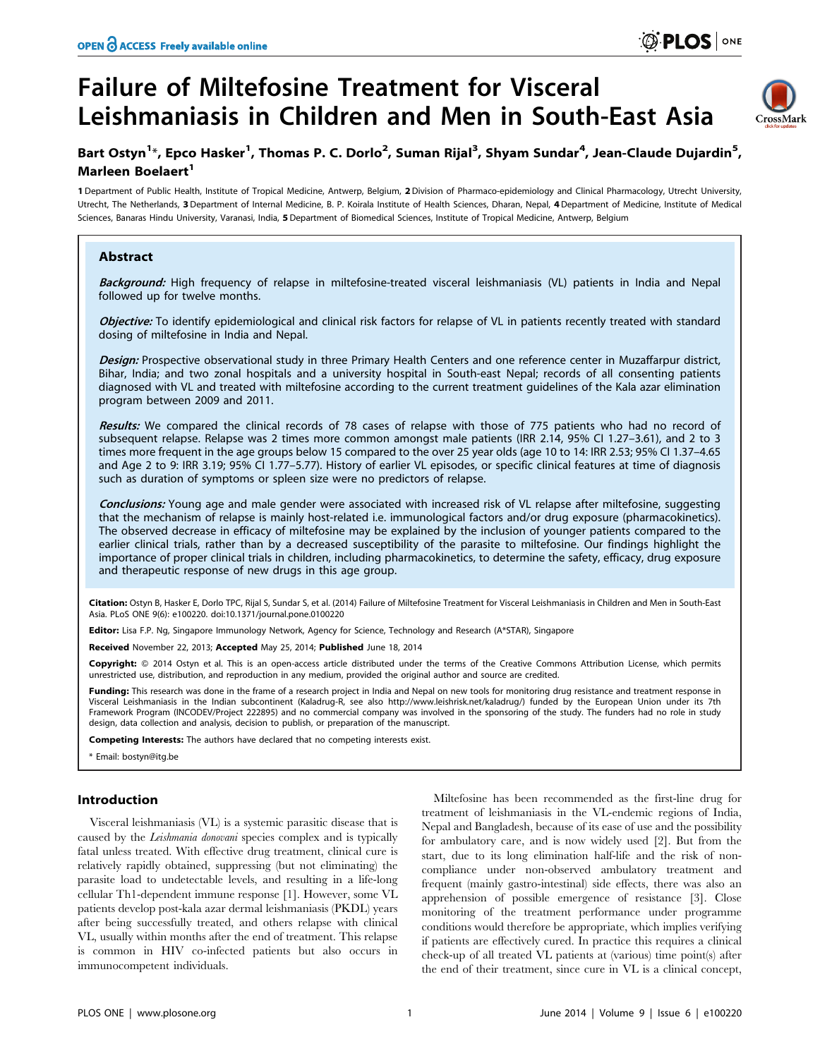# Failure of Miltefosine Treatment for Visceral Leishmaniasis in Children and Men in South-East Asia



# Bart Ostyn<sup>1</sup>\*, Epco Hasker<sup>1</sup>, Thomas P. C. Dorlo<sup>2</sup>, Suman Rijal<sup>3</sup>, Shyam Sundar<sup>4</sup>, Jean-Claude Dujardin<sup>5</sup>, Marleen Boelaert<sup>1</sup>

1 Department of Public Health, Institute of Tropical Medicine, Antwerp, Belgium, 2Division of Pharmaco-epidemiology and Clinical Pharmacology, Utrecht University, Utrecht, The Netherlands, 3 Department of Internal Medicine, B. P. Koirala Institute of Health Sciences, Dharan, Nepal, 4Department of Medicine, Institute of Medical Sciences, Banaras Hindu University, Varanasi, India, 5 Department of Biomedical Sciences, Institute of Tropical Medicine, Antwerp, Belgium

# Abstract

Background: High frequency of relapse in miltefosine-treated visceral leishmaniasis (VL) patients in India and Nepal followed up for twelve months.

Objective: To identify epidemiological and clinical risk factors for relapse of VL in patients recently treated with standard dosing of miltefosine in India and Nepal.

Design: Prospective observational study in three Primary Health Centers and one reference center in Muzaffarpur district, Bihar, India; and two zonal hospitals and a university hospital in South-east Nepal; records of all consenting patients diagnosed with VL and treated with miltefosine according to the current treatment guidelines of the Kala azar elimination program between 2009 and 2011.

Results: We compared the clinical records of 78 cases of relapse with those of 775 patients who had no record of subsequent relapse. Relapse was 2 times more common amongst male patients (IRR 2.14, 95% CI 1.27–3.61), and 2 to 3 times more frequent in the age groups below 15 compared to the over 25 year olds (age 10 to 14: IRR 2.53; 95% CI 1.37–4.65 and Age 2 to 9: IRR 3.19; 95% CI 1.77–5.77). History of earlier VL episodes, or specific clinical features at time of diagnosis such as duration of symptoms or spleen size were no predictors of relapse.

Conclusions: Young age and male gender were associated with increased risk of VL relapse after miltefosine, suggesting that the mechanism of relapse is mainly host-related i.e. immunological factors and/or drug exposure (pharmacokinetics). The observed decrease in efficacy of miltefosine may be explained by the inclusion of younger patients compared to the earlier clinical trials, rather than by a decreased susceptibility of the parasite to miltefosine. Our findings highlight the importance of proper clinical trials in children, including pharmacokinetics, to determine the safety, efficacy, drug exposure and therapeutic response of new drugs in this age group.

Citation: Ostyn B, Hasker E, Dorlo TPC, Rijal S, Sundar S, et al. (2014) Failure of Miltefosine Treatment for Visceral Leishmaniasis in Children and Men in South-East Asia. PLoS ONE 9(6): e100220. doi:10.1371/journal.pone.0100220

Editor: Lisa F.P. Ng, Singapore Immunology Network, Agency for Science, Technology and Research (A\*STAR), Singapore

Received November 22, 2013; Accepted May 25, 2014; Published June 18, 2014

Copyright: © 2014 Ostyn et al. This is an open-access article distributed under the terms of the [Creative Commons Attribution License,](http://creativecommons.org/licenses/by/4.0/) which permits unrestricted use, distribution, and reproduction in any medium, provided the original author and source are credited.

Funding: This research was done in the frame of a research project in India and Nepal on new tools for monitoring drug resistance and treatment response in Visceral Leishmaniasis in the Indian subcontinent (Kaladrug-R, see also http://www.leishrisk.net/kaladrug/) funded by the European Union under its 7th Framework Program (INCODEV/Project 222895) and no commercial company was involved in the sponsoring of the study. The funders had no role in study design, data collection and analysis, decision to publish, or preparation of the manuscript.

ompeting Interests: The authors have declared that no competing interests exist.

\* Email: bostyn@itg.be

#### Introduction

Visceral leishmaniasis (VL) is a systemic parasitic disease that is caused by the Leishmania donovani species complex and is typically fatal unless treated. With effective drug treatment, clinical cure is relatively rapidly obtained, suppressing (but not eliminating) the parasite load to undetectable levels, and resulting in a life-long cellular Th1-dependent immune response [1]. However, some VL patients develop post-kala azar dermal leishmaniasis (PKDL) years after being successfully treated, and others relapse with clinical VL, usually within months after the end of treatment. This relapse is common in HIV co-infected patients but also occurs in immunocompetent individuals.

Miltefosine has been recommended as the first-line drug for treatment of leishmaniasis in the VL-endemic regions of India, Nepal and Bangladesh, because of its ease of use and the possibility for ambulatory care, and is now widely used [2]. But from the start, due to its long elimination half-life and the risk of noncompliance under non-observed ambulatory treatment and frequent (mainly gastro-intestinal) side effects, there was also an apprehension of possible emergence of resistance [3]. Close monitoring of the treatment performance under programme conditions would therefore be appropriate, which implies verifying if patients are effectively cured. In practice this requires a clinical check-up of all treated VL patients at (various) time point(s) after the end of their treatment, since cure in VL is a clinical concept,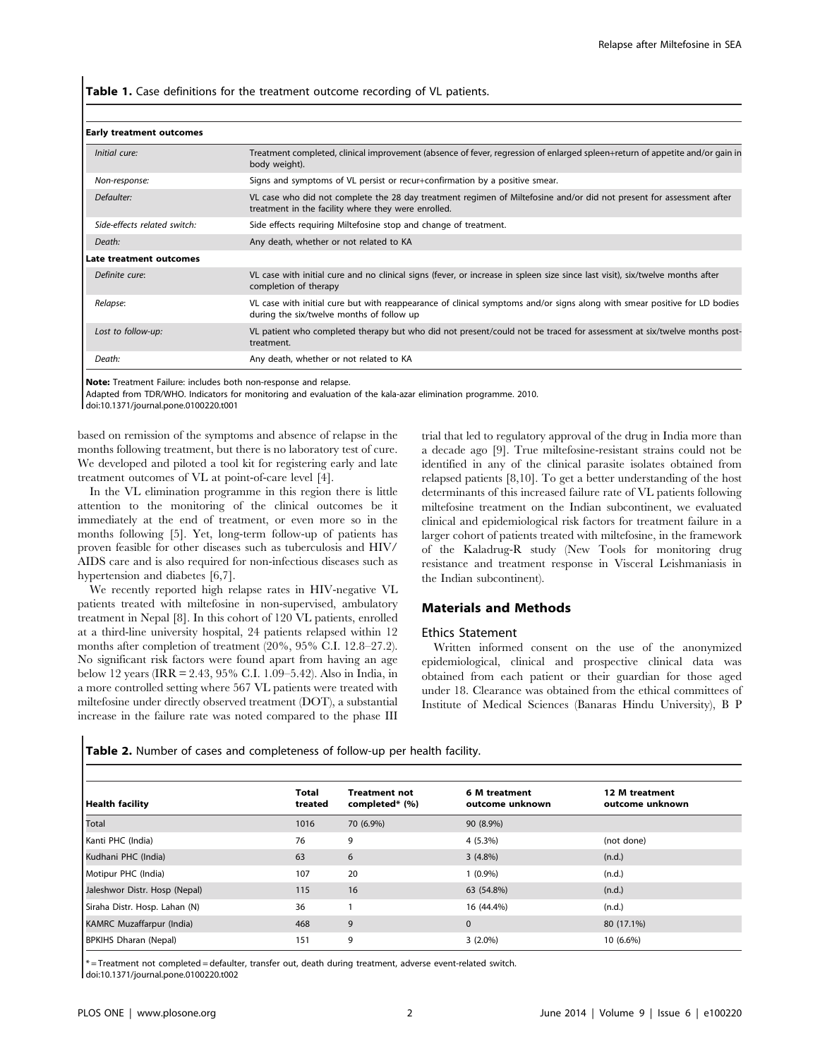Table 1. Case definitions for the treatment outcome recording of VL patients.

| Initial cure:                | Treatment completed, clinical improvement (absence of fever, regression of enlarged spleen+return of appetite and/or gain in<br>body weight).                               |
|------------------------------|-----------------------------------------------------------------------------------------------------------------------------------------------------------------------------|
| Non-response:                | Signs and symptoms of VL persist or recur+confirmation by a positive smear.                                                                                                 |
| Defaulter:                   | VL case who did not complete the 28 day treatment regimen of Miltefosine and/or did not present for assessment after<br>treatment in the facility where they were enrolled. |
| Side-effects related switch: | Side effects requiring Miltefosine stop and change of treatment.                                                                                                            |
| Death:                       | Any death, whether or not related to KA                                                                                                                                     |
| Late treatment outcomes      |                                                                                                                                                                             |
| Definite cure:               | VL case with initial cure and no clinical signs (fever, or increase in spleen size since last visit), six/twelve months after<br>completion of therapy                      |
| Relapse:                     | VL case with initial cure but with reappearance of clinical symptoms and/or signs along with smear positive for LD bodies<br>during the six/twelve months of follow up      |
| Lost to follow-up:           | VL patient who completed therapy but who did not present/could not be traced for assessment at six/twelve months post-<br>treatment.                                        |
| Death:                       | Any death, whether or not related to KA                                                                                                                                     |

Early treatment outcomes

Note: Treatment Failure: includes both non-response and relapse.

Adapted from TDR/WHO. Indicators for monitoring and evaluation of the kala-azar elimination programme. 2010.

doi:10.1371/journal.pone.0100220.t001

based on remission of the symptoms and absence of relapse in the months following treatment, but there is no laboratory test of cure. We developed and piloted a tool kit for registering early and late treatment outcomes of VL at point-of-care level [4].

In the VL elimination programme in this region there is little attention to the monitoring of the clinical outcomes be it immediately at the end of treatment, or even more so in the months following [5]. Yet, long-term follow-up of patients has proven feasible for other diseases such as tuberculosis and HIV/ AIDS care and is also required for non-infectious diseases such as hypertension and diabetes [6,7].

We recently reported high relapse rates in HIV-negative VL patients treated with miltefosine in non-supervised, ambulatory treatment in Nepal [8]. In this cohort of 120 VL patients, enrolled at a third-line university hospital, 24 patients relapsed within 12 months after completion of treatment (20%, 95% C.I. 12.8–27.2). No significant risk factors were found apart from having an age below 12 years (IRR = 2.43, 95% C.I. 1.09–5.42). Also in India, in a more controlled setting where 567 VL patients were treated with miltefosine under directly observed treatment (DOT), a substantial increase in the failure rate was noted compared to the phase III trial that led to regulatory approval of the drug in India more than a decade ago [9]. True miltefosine-resistant strains could not be identified in any of the clinical parasite isolates obtained from relapsed patients [8,10]. To get a better understanding of the host determinants of this increased failure rate of VL patients following miltefosine treatment on the Indian subcontinent, we evaluated clinical and epidemiological risk factors for treatment failure in a larger cohort of patients treated with miltefosine, in the framework of the Kaladrug-R study (New Tools for monitoring drug resistance and treatment response in Visceral Leishmaniasis in the Indian subcontinent).

#### Materials and Methods

#### Ethics Statement

Written informed consent on the use of the anonymized epidemiological, clinical and prospective clinical data was obtained from each patient or their guardian for those aged under 18. Clearance was obtained from the ethical committees of Institute of Medical Sciences (Banaras Hindu University), B P

Table 2. Number of cases and completeness of follow-up per health facility.

| Health facility                  | <b>Total</b><br>treated | <b>Treatment not</b><br>completed* (%) | 6 M treatment<br>outcome unknown | 12 M treatment<br>outcome unknown |
|----------------------------------|-------------------------|----------------------------------------|----------------------------------|-----------------------------------|
| Total                            | 1016                    | 70 (6.9%)                              | 90 (8.9%)                        |                                   |
| Kanti PHC (India)                | 76                      | 9                                      | 4 (5.3%)                         | (not done)                        |
| Kudhani PHC (India)              | 63                      | 6                                      | $3(4.8\%)$                       | (n.d.)                            |
| Motipur PHC (India)              | 107                     | 20                                     | 1 (0.9%)                         | (n.d.)                            |
| Jaleshwor Distr. Hosp (Nepal)    | 115                     | 16                                     | 63 (54.8%)                       | (n.d.)                            |
| Siraha Distr. Hosp. Lahan (N)    | 36                      |                                        | 16 (44.4%)                       | (n.d.)                            |
| <b>KAMRC Muzaffarpur (India)</b> | 468                     | 9                                      | $\mathbf{0}$                     | 80 (17.1%)                        |
| <b>BPKIHS Dharan (Nepal)</b>     | 151                     | 9                                      | $3(2.0\%)$                       | 10 (6.6%)                         |

\* = Treatment not completed = defaulter, transfer out, death during treatment, adverse event-related switch. doi:10.1371/journal.pone.0100220.t002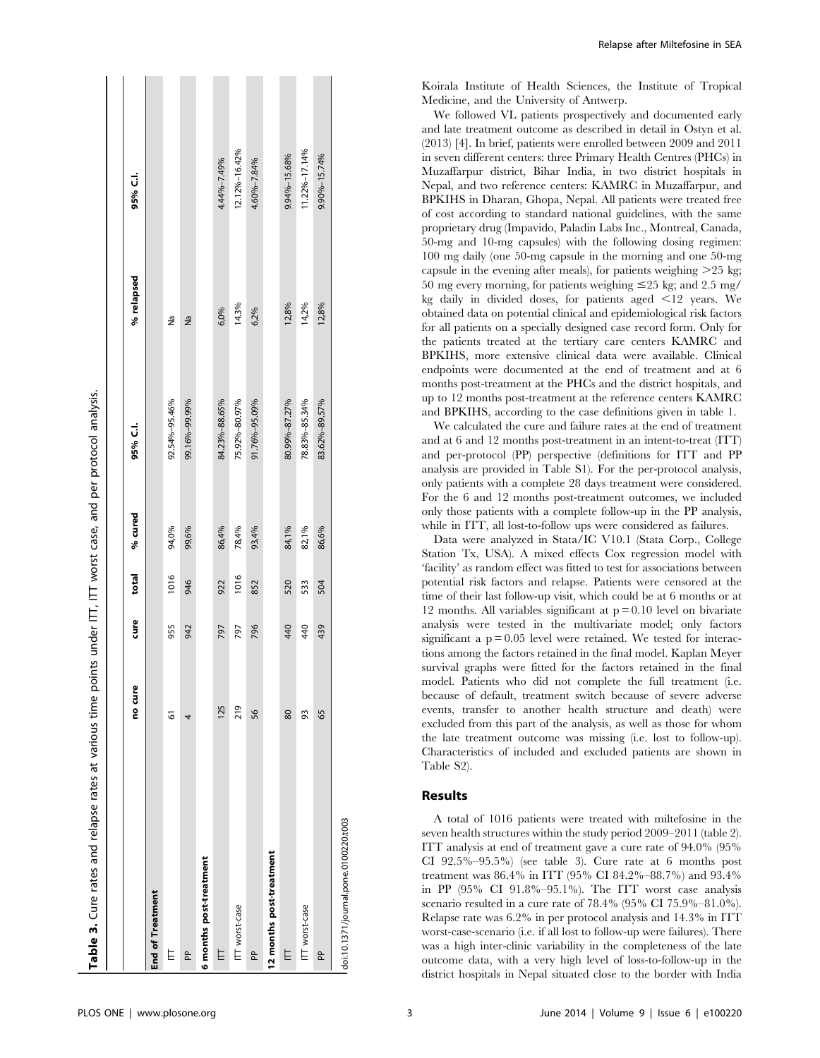| Table 3. Cure rates and relapse rates at various time points under ITI, ITI worst case, and per protocol analysis. |         |      |       |         |               |            |               |
|--------------------------------------------------------------------------------------------------------------------|---------|------|-------|---------|---------------|------------|---------------|
|                                                                                                                    |         |      |       |         |               |            |               |
|                                                                                                                    | no cure | ean. | total | % cured | 95% C.I.      | % relapsed | 95% C.I.      |
| End of Treatment                                                                                                   |         |      |       |         |               |            |               |
| Ė                                                                                                                  | 6       | 955  | 1016  | 94,0%   | 92.54%-95.46% | å          |               |
| L                                                                                                                  | 4       | 942  | 946   | 99,6%   | 99.16%-99.99% | Ρã         |               |
| 6 months post-treatment                                                                                            |         |      |       |         |               |            |               |
| E                                                                                                                  | 125     | 797  | 922   | 86,4%   | 84.23%-88.65% | 6,0%       | 4.44%-7.49%   |
| ITT worst-case                                                                                                     | 219     | 797  | 1016  | 78,4%   | 75.92%-80.97% | 14.3%      | 12.12%-16.42% |
| L                                                                                                                  | 56      | 796  | 852   | 93,4%   | 91.76%-95.09% | 6,2%       | 4.60%-7.84%   |
| 12 months post-treatment                                                                                           |         |      |       |         |               |            |               |
| E                                                                                                                  | 80      | 440  | 520   | 84,1%   | 80.99%-87.27% | 12,8%      | 9.94%-15.68%  |
| ITT worst-case                                                                                                     | 93      | 40   | 533   | 82,1%   | 78.83%-85.34% | 14,2%      | 11.22%-17.14% |
| a<br>P                                                                                                             | 65      | 439  | 504   | 86,6%   | 83.62%-89.57% | 12,8%      | 9.90%-15.74%  |
| doi:10.1371/journal.pone.0100220.t003                                                                              |         |      |       |         |               |            |               |

Relapse after Miltefosine in SEA

Koirala Institute of Health Sciences, the Institute of Tropical Medicine, and the University of Antwerp.

We followed VL patients prospectively and documented early and late treatment outcome as described in detail in Ostyn et al. (2013) [4]. In brief, patients were enrolled between 2009 and 2011 in seven different centers: three Primary Health Centres (PHCs) in Muzaffarpur district, Bihar India, in two district hospitals in Nepal, and two reference centers: KAMRC in Muzaffarpur, and BPKIHS in Dharan, Ghopa, Nepal. All patients were treated free of cost according to standard national guidelines, with the same proprietary drug (Impavido, Paladin Labs Inc., Montreal, Canada, 50-mg and 10-mg capsules) with the following dosing regimen: 100 mg daily (one 50-mg capsule in the morning and one 50-mg capsule in the evening after meals), for patients weighing  $>25$  kg; 50 mg every morning, for patients weighing  $\leq$ 25 kg; and 2.5 mg/ kg daily in divided doses, for patients aged  $\leq$ 12 years. We obtained data on potential clinical and epidemiological risk factors for all patients on a specially designed case record form. Only for the patients treated at the tertiary care centers KAMRC and BPKIHS, more extensive clinical data were available. Clinical endpoints were documented at the end of treatment and at 6 months post-treatment at the PHCs and the district hospitals, and up to 12 months post-treatment at the reference centers KAMRC and BPKIHS, according to the case definitions given in table 1.

We calculated the cure and failure rates at the end of treatment and at 6 and 12 months post-treatment in an intent-to-treat (ITT) and per-protocol (PP) perspective (definitions for ITT and PP analysis are provided in Table S1). For the per-protocol analysis, only patients with a complete 28 days treatment were considered. For the 6 and 12 months post-treatment outcomes, we included only those patients with a complete follow-up in the PP analysis, while in ITT, all lost-to-follow ups were considered as failures.

Data were analyzed in Stata/IC V10.1 (Stata Corp., College Station Tx, USA). A mixed effects Cox regression model with 'facility' as random effect was fitted to test for associations between potential risk factors and relapse. Patients were censored at the time of their last follow-up visit, which could be at 6 months or at 12 months. All variables significant at  $p = 0.10$  level on bivariate analysis were tested in the multivariate model; only factors significant a  $p = 0.05$  level were retained. We tested for interactions among the factors retained in the final model. Kaplan Meyer survival graphs were fitted for the factors retained in the final model. Patients who did not complete the full treatment (i.e. because of default, treatment switch because of severe adverse events, transfer to another health structure and death) were excluded from this part of the analysis, as well as those for whom the late treatment outcome was missing (i.e. lost to follow-up). Characteristics of included and excluded patients are shown in Table S2).

# Results

A total of 1016 patients were treated with miltefosine in the seven health structures within the study period 2009–2011 (table 2). ITT analysis at end of treatment gave a cure rate of 94.0% (95% CI 92.5%–95.5%) (see table 3). Cure rate at 6 months post treatment was 86.4% in ITT (95% CI 84.2%–88.7%) and 93.4% in PP (95% CI 91.8%–95.1%). The ITT worst case analysis scenario resulted in a cure rate of 78.4% (95% CI 75.9%–81.0%). Relapse rate was 6.2% in per protocol analysis and 14.3% in ITT worst-case-scenario (i.e. if all lost to follow-up were failures). There was a high inter-clinic variability in the completeness of the late outcome data, with a very high level of loss-to-follow-up in the district hospitals in Nepal situated close to the border with India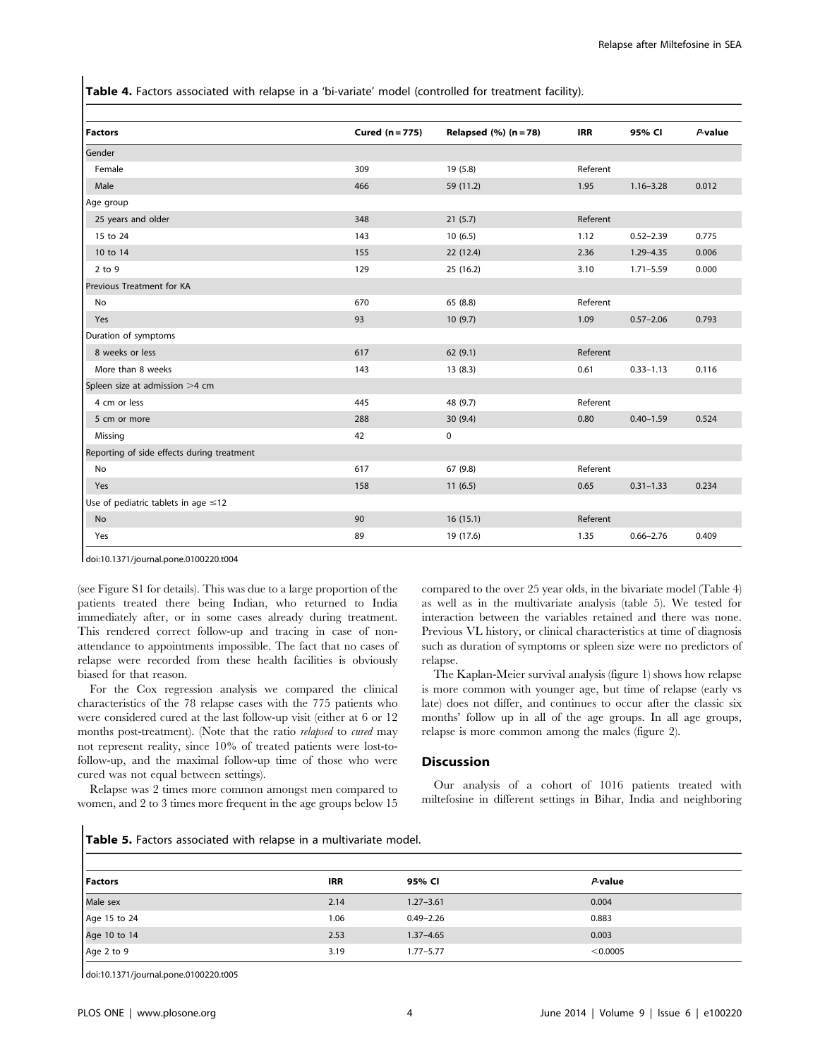Table 4. Factors associated with relapse in a 'bi-variate' model (controlled for treatment facility).

| <b>Factors</b>                             | Cured (n = 775) | Relapsed $(\%)$ (n = 78) | <b>IRR</b> | 95% CI        | $P$ -value |
|--------------------------------------------|-----------------|--------------------------|------------|---------------|------------|
| Gender                                     |                 |                          |            |               |            |
| Female                                     | 309             | 19 (5.8)                 | Referent   |               |            |
| Male                                       | 466             | 59 (11.2)                | 1.95       | $1.16 - 3.28$ | 0.012      |
| Age group                                  |                 |                          |            |               |            |
| 25 years and older                         | 348             | 21(5.7)                  | Referent   |               |            |
| 15 to 24                                   | 143             | 10(6.5)                  | 1.12       | $0.52 - 2.39$ | 0.775      |
| 10 to 14                                   | 155             | 22 (12.4)                | 2.36       | $1.29 - 4.35$ | 0.006      |
| $2$ to $9$                                 | 129             | 25 (16.2)                | 3.10       | $1.71 - 5.59$ | 0.000      |
| Previous Treatment for KA                  |                 |                          |            |               |            |
| No                                         | 670             | 65 (8.8)                 | Referent   |               |            |
| Yes                                        | 93              | 10(9.7)                  | 1.09       | $0.57 - 2.06$ | 0.793      |
| Duration of symptoms                       |                 |                          |            |               |            |
| 8 weeks or less                            | 617             | 62(9.1)                  | Referent   |               |            |
| More than 8 weeks                          | 143             | 13(8.3)                  | 0.61       | $0.33 - 1.13$ | 0.116      |
| Spleen size at admission >4 cm             |                 |                          |            |               |            |
| 4 cm or less                               | 445             | 48 (9.7)                 | Referent   |               |            |
| 5 cm or more                               | 288             | 30(9.4)                  | 0.80       | $0.40 - 1.59$ | 0.524      |
| Missing                                    | 42              | $\pmb{0}$                |            |               |            |
| Reporting of side effects during treatment |                 |                          |            |               |            |
| No                                         | 617             | 67 (9.8)                 | Referent   |               |            |
| Yes                                        | 158             | 11(6.5)                  | 0.65       | $0.31 - 1.33$ | 0.234      |
| Use of pediatric tablets in age $\leq$ 12  |                 |                          |            |               |            |
| <b>No</b>                                  | 90              | 16(15.1)                 | Referent   |               |            |
| Yes                                        | 89              | 19 (17.6)                | 1.35       | $0.66 - 2.76$ | 0.409      |

doi:10.1371/journal.pone.0100220.t004

(see Figure S1 for details). This was due to a large proportion of the patients treated there being Indian, who returned to India immediately after, or in some cases already during treatment. This rendered correct follow-up and tracing in case of nonattendance to appointments impossible. The fact that no cases of relapse were recorded from these health facilities is obviously biased for that reason.

For the Cox regression analysis we compared the clinical characteristics of the 78 relapse cases with the 775 patients who were considered cured at the last follow-up visit (either at 6 or 12 months post-treatment). (Note that the ratio *relapsed* to *cured* may not represent reality, since 10% of treated patients were lost-tofollow-up, and the maximal follow-up time of those who were cured was not equal between settings).

Relapse was 2 times more common amongst men compared to women, and 2 to 3 times more frequent in the age groups below 15 compared to the over 25 year olds, in the bivariate model (Table 4) as well as in the multivariate analysis (table 5). We tested for interaction between the variables retained and there was none. Previous VL history, or clinical characteristics at time of diagnosis such as duration of symptoms or spleen size were no predictors of relapse.

The Kaplan-Meier survival analysis (figure 1) shows how relapse is more common with younger age, but time of relapse (early vs late) does not differ, and continues to occur after the classic six months' follow up in all of the age groups. In all age groups, relapse is more common among the males (figure 2).

#### **Discussion**

Our analysis of a cohort of 1016 patients treated with miltefosine in different settings in Bihar, India and neighboring

Table 5. Factors associated with relapse in a multivariate model.

| <b>Factors</b> | <b>IRR</b> | 95% CI        | P-value  |
|----------------|------------|---------------|----------|
| Male sex       | 2.14       | $1.27 - 3.61$ | 0.004    |
| Age 15 to 24   | 1.06       | $0.49 - 2.26$ | 0.883    |
| Age 10 to 14   | 2.53       | $1.37 - 4.65$ | 0.003    |
| Age 2 to 9     | 3.19       | $1.77 - 5.77$ | < 0.0005 |

doi:10.1371/journal.pone.0100220.t005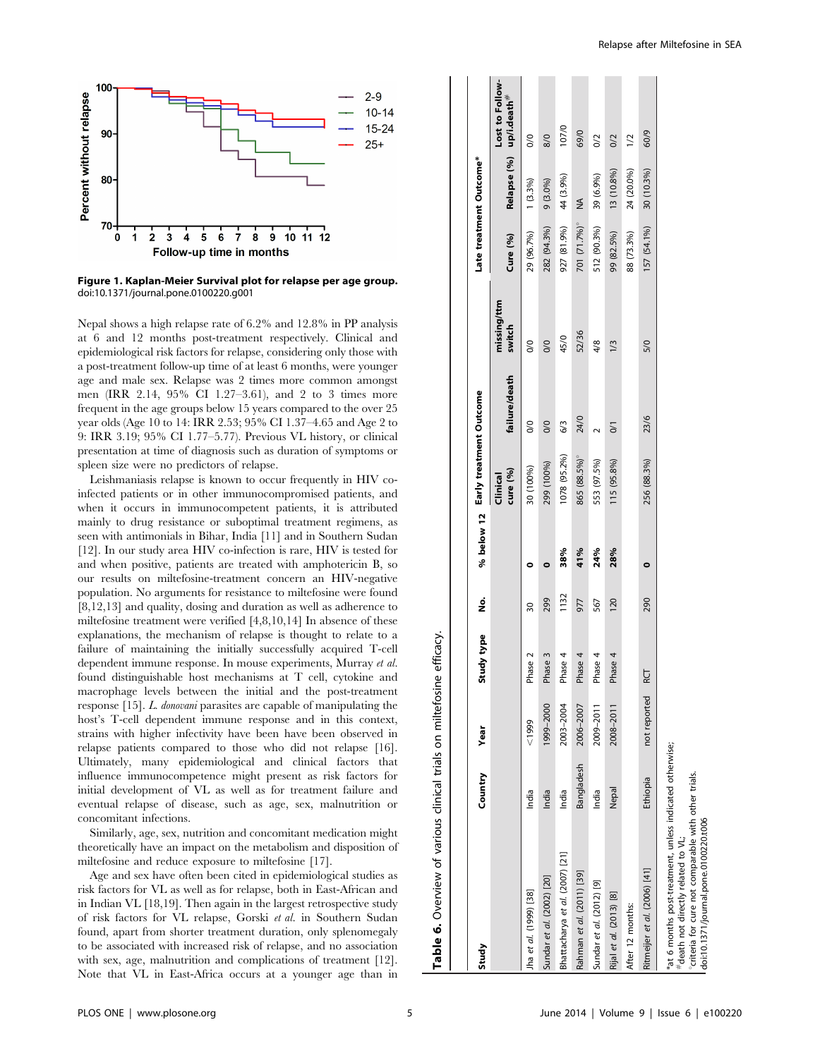

Figure 1. Kaplan-Meier Survival plot for relapse per age group. doi:10.1371/journal.pone.0100220.g001

Nepal shows a high relapse rate of 6.2% and 12.8% in PP analysis at 6 and 12 months post-treatment respectively. Clinical and epidemiological risk factors for relapse, considering only those with a post-treatment follow-up time of at least 6 months, were younger age and male sex. Relapse was 2 times more common amongst men (IRR 2.14, 95% CI 1.27–3.61), and 2 to 3 times more frequent in the age groups below 15 years compared to the over 25 year olds (Age 10 to 14: IRR 2.53; 95% CI 1.37–4.65 and Age 2 to 9: IRR 3.19; 95% CI 1.77–5.77). Previous VL history, or clinical presentation at time of diagnosis such as duration of symptoms or spleen size were no predictors of relapse.

Leishmaniasis relapse is known to occur frequently in HIV coinfected patients or in other immunocompromised patients, and when it occurs in immunocompetent patients, it is attributed mainly to drug resistance or suboptimal treatment regimens, as seen with antimonials in Bihar, India [11] and in Southern Sudan [12]. In our study area HIV co-infection is rare, HIV is tested for and when positive, patients are treated with amphotericin B, so our results on miltefosine-treatment concern an HIV-negative population. No arguments for resistance to miltefosine were found [8,12,13] and quality, dosing and duration as well as adherence to miltefosine treatment were verified [4,8,10,14] In absence of these explanations, the mechanism of relapse is thought to relate to a failure of maintaining the initially successfully acquired T-cell dependent immune response. In mouse experiments, Murray et al. found distinguishable host mechanisms at T cell, cytokine and macrophage levels between the initial and the post-treatment response [15]. L. donovani parasites are capable of manipulating the host's T-cell dependent immune response and in this context, strains with higher infectivity have been have been observed in relapse patients compared to those who did not relapse [16]. Ultimately, many epidemiological and clinical factors that influence immunocompetence might present as risk factors for initial development of VL as well as for treatment failure and eventual relapse of disease, such as age, sex, malnutrition or concomitant infections.

Similarly, age, sex, nutrition and concomitant medication might theoretically have an impact on the metabolism and disposition of miltefosine and reduce exposure to miltefosine [17].

Age and sex have often been cited in epidemiological studies as risk factors for VL as well as for relapse, both in East-African and in Indian VL [18,19]. Then again in the largest retrospective study of risk factors for VL relapse, Gorski et al. in Southern Sudan found, apart from shorter treatment duration, only splenomegaly to be associated with increased risk of relapse, and no association with sex, age, malnutrition and complications of treatment [12]. Note that VL in East-Africa occurs at a younger age than in

| Study                                                                                                                                                                                          | Country    | Year         | Study type | ş               |           | % below 12 Early treatment Outcome |                |                       |             | Late treatment Outcome* |                                            |
|------------------------------------------------------------------------------------------------------------------------------------------------------------------------------------------------|------------|--------------|------------|-----------------|-----------|------------------------------------|----------------|-----------------------|-------------|-------------------------|--------------------------------------------|
|                                                                                                                                                                                                |            |              |            |                 |           | cure (%)<br>Clinical               | failure/death  | missing/ttm<br>switch | Cure (%)    |                         | Lost to Follow-<br>Relapse (%) up/i.death# |
| Jha et al. (1999) [38]                                                                                                                                                                         | India      | 6661         | Phase 2    | $\overline{30}$ |           | 30 (100%)                          | $\infty$       | $\frac{0}{2}$         | 29 (96.7%)  | $1(3.3\%)$              | $\frac{0}{2}$                              |
| Sundar et al. (2002) [20]                                                                                                                                                                      | India      | 1999-2000    | Phase 3    | 299             | $\bullet$ | 299 (100%)                         | $\frac{8}{2}$  | $\frac{0}{0}$         | 282 (94.3%) | $9(3.0\%)$              | 8/0                                        |
| Bhattacharya et al. (2007) [21]                                                                                                                                                                | India      | 2003-2004    | Phase 4    | 1132            | 38%       | 1078 (95.2%)                       | 6/3            | 45/0                  | 927 (81.9%) | 44 (3.9%)               | 107/0                                      |
| Rahman et al. (2011) [39]                                                                                                                                                                      | Bangladesh | 2006-2007    | Phase 4    | 977             | 41%       | 865 (88.5%)                        | 24/0           | 52/36                 | 701 (71.7%) | ≸                       | 69/0                                       |
| Sundar et al. (2012) [9]                                                                                                                                                                       | India      | 2009-2011    | Phase 4    | 567             | 24%       | 553 (97.5%)                        |                | 4/8                   | 512 (90.3%) | 39 (6.9%)               | $\frac{2}{\sqrt{2}}$                       |
| Rijal et al. (2013) [8]                                                                                                                                                                        | Nepal      | 2008-2011    | Phase 4    | 120             | 28%       | 115 (95.8%)                        | $\overline{6}$ | 1/3                   | 99 (82.5%)  | 13 (10.8%)              | O/2                                        |
| After 12 months:                                                                                                                                                                               |            |              |            |                 |           |                                    |                |                       | 88 (73.3%)  | 24 (20.0%)              | $\frac{1}{2}$                              |
| Ritmeijer et al. (2006) [41]                                                                                                                                                                   | Ethiopia   | not reported | <b>RCT</b> | 290             | $\bullet$ | 256 (88.3%)                        | 23/6           | 5/0                   | 157 (54.1%) | 30 (10.3%)              | 60/9                                       |
| *at 6 months post-treatment, unless indicated otherwise;<br>criteria for cure not comparable with other trials.<br>doi:10.1371/journal.pone.0100220.t006<br>#death not directly related to VL; |            |              |            |                 |           |                                    |                |                       |             |                         |                                            |

Table 6. Overview of various clinical trials on miltefosine efficacy.

Table 6. Overview of various clinical trials on miltefosine efficacy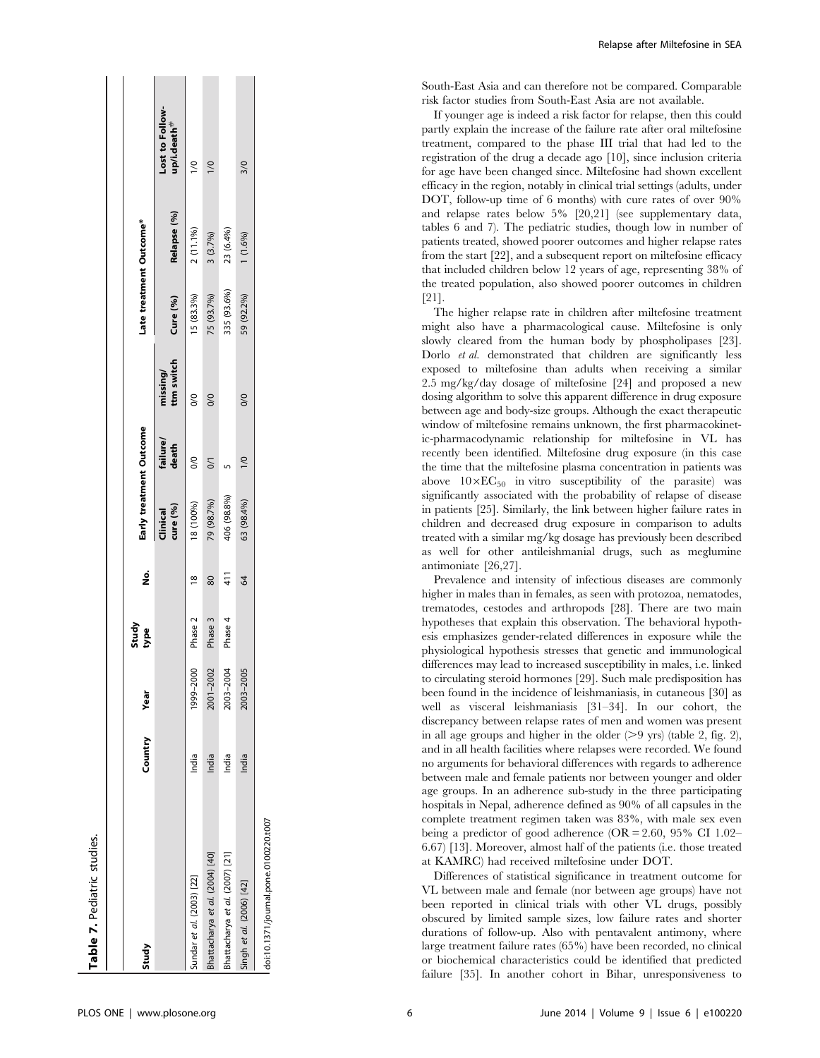| Study                                 | Country | Year      | Study<br>type | ş             | Early treatment Outcome |                   |                        | Late treatment Outcome* |             |                                            |
|---------------------------------------|---------|-----------|---------------|---------------|-------------------------|-------------------|------------------------|-------------------------|-------------|--------------------------------------------|
|                                       |         |           |               |               | cure (%)<br>Clinical    | failure/<br>death | ttm switch<br>missing/ | Cure (%)                | Relapse (%) | Lost to Follow-<br>up/i.death <sup>#</sup> |
| Sundar et al. (2003) [22]             | India   | 1999-2000 | Phase 2       | $\frac{8}{2}$ | 18 (100%)               | $\frac{8}{2}$     | $\frac{1}{2}$          | 15 (83.3%)              | 2 (11.1%)   | $\overline{a}$                             |
| Bhattacharya et al. (2004) [40]       | India   | 2001-2002 | Phase 3       | 80            | 79 (98.7%)              | $\overline{5}$    | 0/0                    | 75 (93.7%)              | 3 (3.7%)    | $\leq$                                     |
| Bhattacharya et al. (2007) [21]       | India   | 2003-2004 | Phase 4       | 411           | 406 (98.8%)             |                   |                        | 335 (93.6%)             | 23 (6.4%)   |                                            |
| Singh et al. (2006) [42]              | India   | 2003-2005 |               | 64            | 63 (98.4%)              | $\frac{1}{0}$     | 0/0                    | 59 (92.2%)              | $1(1.6\%)$  | 3/0                                        |
| doi:10.1371/journal.pone.0100220.t007 |         |           |               |               |                         |                   |                        |                         |             |                                            |

Relapse after Miltefosine in SEA

South-East Asia and can therefore not be compared. Comparable risk factor studies from South-East Asia are not available.

If younger age is indeed a risk factor for relapse, then this could partly explain the increase of the failure rate after oral miltefosine treatment, compared to the phase III trial that had led to the registration of the drug a decade ago [10], since inclusion criteria for age have been changed since. Miltefosine had shown excellent efficacy in the region, notably in clinical trial settings (adults, under DOT, follow-up time of 6 months) with cure rates of over 90% and relapse rates below 5% [20,21] (see supplementary data, tables 6 and 7). The pediatric studies, though low in number of patients treated, showed poorer outcomes and higher relapse rates from the start [22], and a subsequent report on miltefosine efficacy that included children below 12 years of age, representing 38% of the treated population, also showed poorer outcomes in children [21].

The higher relapse rate in children after miltefosine treatment might also have a pharmacological cause. Miltefosine is only slowly cleared from the human body by phospholipases [23]. Dorlo et al. demonstrated that children are significantly less exposed to miltefosine than adults when receiving a similar 2.5 mg/kg/day dosage of miltefosine [24] and proposed a new dosing algorithm to solve this apparent difference in drug exposure between age and body-size groups. Although the exact therapeutic window of miltefosine remains unknown, the first pharmacokinetic-pharmacodynamic relationship for miltefosine in VL has recently been identified. Miltefosine drug exposure (in this case the time that the miltefosine plasma concentration in patients was above  $10\times EC_{50}$  in vitro susceptibility of the parasite) was significantly associated with the probability of relapse of disease in patients [25]. Similarly, the link between higher failure rates in children and decreased drug exposure in comparison to adults treated with a similar mg/kg dosage has previously been described as well for other antileishmanial drugs, such as meglumine antimoniate [26,27].

Prevalence and intensity of infectious diseases are commonly higher in males than in females, as seen with protozoa, nematodes, trematodes, cestodes and arthropods [28]. There are two main hypotheses that explain this observation. The behavioral hypothesis emphasizes gender-related differences in exposure while the physiological hypothesis stresses that genetic and immunological differences may lead to increased susceptibility in males, i.e. linked to circulating steroid hormones [29]. Such male predisposition has been found in the incidence of leishmaniasis, in cutaneous [30] as well as visceral leishmaniasis [31–34]. In our cohort, the discrepancy between relapse rates of men and women was present in all age groups and higher in the older  $(>9 \text{ yrs})$  (table 2, fig. 2), and in all health facilities where relapses were recorded. We found no arguments for behavioral differences with regards to adherence between male and female patients nor between younger and older age groups. In an adherence sub-study in the three participating hospitals in Nepal, adherence defined as 90% of all capsules in the complete treatment regimen taken was 83%, with male sex even being a predictor of good adherence (OR = 2.60, 95% CI 1.02– 6.67) [13]. Moreover, almost half of the patients (i.e. those treated at KAMRC) had received miltefosine under DOT.

Differences of statistical significance in treatment outcome for VL between male and female (nor between age groups) have not been reported in clinical trials with other VL drugs, possibly obscured by limited sample sizes, low failure rates and shorter durations of follow-up. Also with pentavalent antimony, where large treatment failure rates (65%) have been recorded, no clinical or biochemical characteristics could be identified that predicted failure [35]. In another cohort in Bihar, unresponsiveness to

Table 7. Pediatric studies.

Table 7. Pediatric studies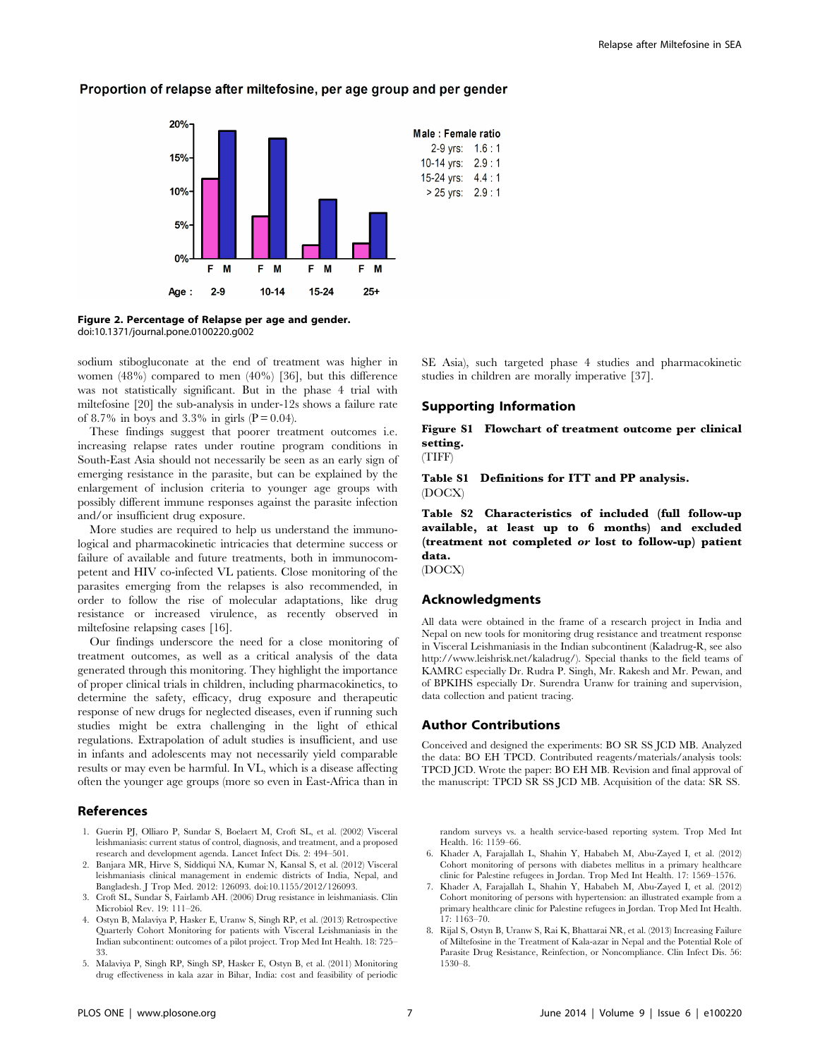

# Proportion of relapse after miltefosine, per age group and per gender

Figure 2. Percentage of Relapse per age and gender. doi:10.1371/journal.pone.0100220.g002

sodium stibogluconate at the end of treatment was higher in women (48%) compared to men (40%) [36], but this difference was not statistically significant. But in the phase 4 trial with miltefosine [20] the sub-analysis in under-12s shows a failure rate of 8.7% in boys and 3.3% in girls  $(P = 0.04)$ .

These findings suggest that poorer treatment outcomes i.e. increasing relapse rates under routine program conditions in South-East Asia should not necessarily be seen as an early sign of emerging resistance in the parasite, but can be explained by the enlargement of inclusion criteria to younger age groups with possibly different immune responses against the parasite infection and/or insufficient drug exposure.

More studies are required to help us understand the immunological and pharmacokinetic intricacies that determine success or failure of available and future treatments, both in immunocompetent and HIV co-infected VL patients. Close monitoring of the parasites emerging from the relapses is also recommended, in order to follow the rise of molecular adaptations, like drug resistance or increased virulence, as recently observed in miltefosine relapsing cases [16].

Our findings underscore the need for a close monitoring of treatment outcomes, as well as a critical analysis of the data generated through this monitoring. They highlight the importance of proper clinical trials in children, including pharmacokinetics, to determine the safety, efficacy, drug exposure and therapeutic response of new drugs for neglected diseases, even if running such studies might be extra challenging in the light of ethical regulations. Extrapolation of adult studies is insufficient, and use in infants and adolescents may not necessarily yield comparable results or may even be harmful. In VL, which is a disease affecting often the younger age groups (more so even in East-Africa than in

# References

- 1. Guerin PJ, Olliaro P, Sundar S, Boelaert M, Croft SL, et al. (2002) Visceral leishmaniasis: current status of control, diagnosis, and treatment, and a proposed research and development agenda. Lancet Infect Dis. 2: 494–501.
- 2. Banjara MR, Hirve S, Siddiqui NA, Kumar N, Kansal S, et al. (2012) Visceral leishmaniasis clinical management in endemic districts of India, Nepal, and Bangladesh. J Trop Med. 2012: 126093. doi:10.1155/2012/126093.
- 3. Croft SL, Sundar S, Fairlamb AH. (2006) Drug resistance in leishmaniasis. Clin Microbiol Rev. 19: 111–26.
- 4. Ostyn B, Malaviya P, Hasker E, Uranw S, Singh RP, et al. (2013) Retrospective Quarterly Cohort Monitoring for patients with Visceral Leishmaniasis in the Indian subcontinent: outcomes of a pilot project. Trop Med Int Health. 18: 725– 33.
- 5. Malaviya P, Singh RP, Singh SP, Hasker E, Ostyn B, et al. (2011) Monitoring drug effectiveness in kala azar in Bihar, India: cost and feasibility of periodic

SE Asia), such targeted phase 4 studies and pharmacokinetic studies in children are morally imperative [37].

#### Supporting Information

# Figure S1 Flowchart of treatment outcome per clinical setting.

(TIFF)

Table S1 Definitions for ITT and PP analysis. (DOCX)

Table S2 Characteristics of included (full follow-up available, at least up to 6 months) and excluded (treatment not completed or lost to follow-up) patient data.

(DOCX)

### Acknowledgments

All data were obtained in the frame of a research project in India and Nepal on new tools for monitoring drug resistance and treatment response in Visceral Leishmaniasis in the Indian subcontinent (Kaladrug-R, see also http://www.leishrisk.net/kaladrug/). Special thanks to the field teams of KAMRC especially Dr. Rudra P. Singh, Mr. Rakesh and Mr. Pewan, and of BPKIHS especially Dr. Surendra Uranw for training and supervision, data collection and patient tracing.

#### Author Contributions

Conceived and designed the experiments: BO SR SS JCD MB. Analyzed the data: BO EH TPCD. Contributed reagents/materials/analysis tools: TPCD JCD. Wrote the paper: BO EH MB. Revision and final approval of the manuscript: TPCD SR SS JCD MB. Acquisition of the data: SR SS.

random surveys vs. a health service-based reporting system. Trop Med Int Health. 16: 1159–66.

- 6. Khader A, Farajallah L, Shahin Y, Hababeh M, Abu-Zayed I, et al. (2012) Cohort monitoring of persons with diabetes mellitus in a primary healthcare clinic for Palestine refugees in Jordan. Trop Med Int Health. 17: 1569–1576.
- 7. Khader A, Farajallah L, Shahin Y, Hababeh M, Abu-Zayed I, et al. (2012) Cohort monitoring of persons with hypertension: an illustrated example from a primary healthcare clinic for Palestine refugees in Jordan. Trop Med Int Health. 17: 1163–70.
- 8. Rijal S, Ostyn B, Uranw S, Rai K, Bhattarai NR, et al. (2013) Increasing Failure of Miltefosine in the Treatment of Kala-azar in Nepal and the Potential Role of Parasite Drug Resistance, Reinfection, or Noncompliance. Clin Infect Dis. 56: 1530–8.